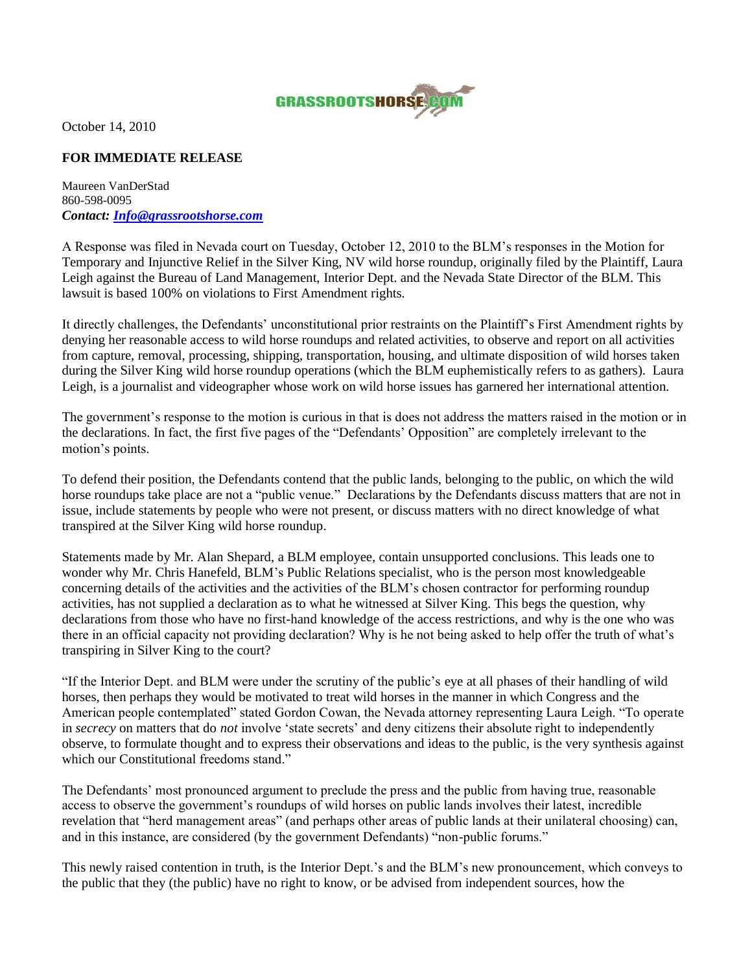

October 14, 2010

## **FOR IMMEDIATE RELEASE**

Maureen VanDerStad 860-598-0095 *Contact: [Info@grassrootshorse.com](mailto:Info@grassrootshorse.com)*

A Response was filed in Nevada court on Tuesday, October 12, 2010 to the BLM"s responses in the Motion for Temporary and Injunctive Relief in the Silver King, NV wild horse roundup, originally filed by the Plaintiff, Laura Leigh against the Bureau of Land Management, Interior Dept. and the Nevada State Director of the BLM. This lawsuit is based 100% on violations to First Amendment rights.

It directly challenges, the Defendants' unconstitutional prior restraints on the Plaintiff's First Amendment rights by denying her reasonable access to wild horse roundups and related activities, to observe and report on all activities from capture, removal, processing, shipping, transportation, housing, and ultimate disposition of wild horses taken during the Silver King wild horse roundup operations (which the BLM euphemistically refers to as gathers). Laura Leigh, is a journalist and videographer whose work on wild horse issues has garnered her international attention.

The government's response to the motion is curious in that is does not address the matters raised in the motion or in the declarations. In fact, the first five pages of the "Defendants" Opposition" are completely irrelevant to the motion"s points.

To defend their position, the Defendants contend that the public lands, belonging to the public, on which the wild horse roundups take place are not a "public venue." Declarations by the Defendants discuss matters that are not in issue, include statements by people who were not present, or discuss matters with no direct knowledge of what transpired at the Silver King wild horse roundup.

Statements made by Mr. Alan Shepard, a BLM employee, contain unsupported conclusions. This leads one to wonder why Mr. Chris Hanefeld, BLM"s Public Relations specialist, who is the person most knowledgeable concerning details of the activities and the activities of the BLM"s chosen contractor for performing roundup activities, has not supplied a declaration as to what he witnessed at Silver King. This begs the question, why declarations from those who have no first-hand knowledge of the access restrictions, and why is the one who was there in an official capacity not providing declaration? Why is he not being asked to help offer the truth of what"s transpiring in Silver King to the court?

"If the Interior Dept. and BLM were under the scrutiny of the public"s eye at all phases of their handling of wild horses, then perhaps they would be motivated to treat wild horses in the manner in which Congress and the American people contemplated" stated Gordon Cowan, the Nevada attorney representing Laura Leigh. "To operate in *secrecy* on matters that do *not* involve 'state secrets' and deny citizens their absolute right to independently observe, to formulate thought and to express their observations and ideas to the public, is the very synthesis against which our Constitutional freedoms stand."

The Defendants' most pronounced argument to preclude the press and the public from having true, reasonable access to observe the government's roundups of wild horses on public lands involves their latest, incredible revelation that "herd management areas" (and perhaps other areas of public lands at their unilateral choosing) can, and in this instance, are considered (by the government Defendants) "non-public forums."

This newly raised contention in truth, is the Interior Dept."s and the BLM"s new pronouncement, which conveys to the public that they (the public) have no right to know, or be advised from independent sources, how the